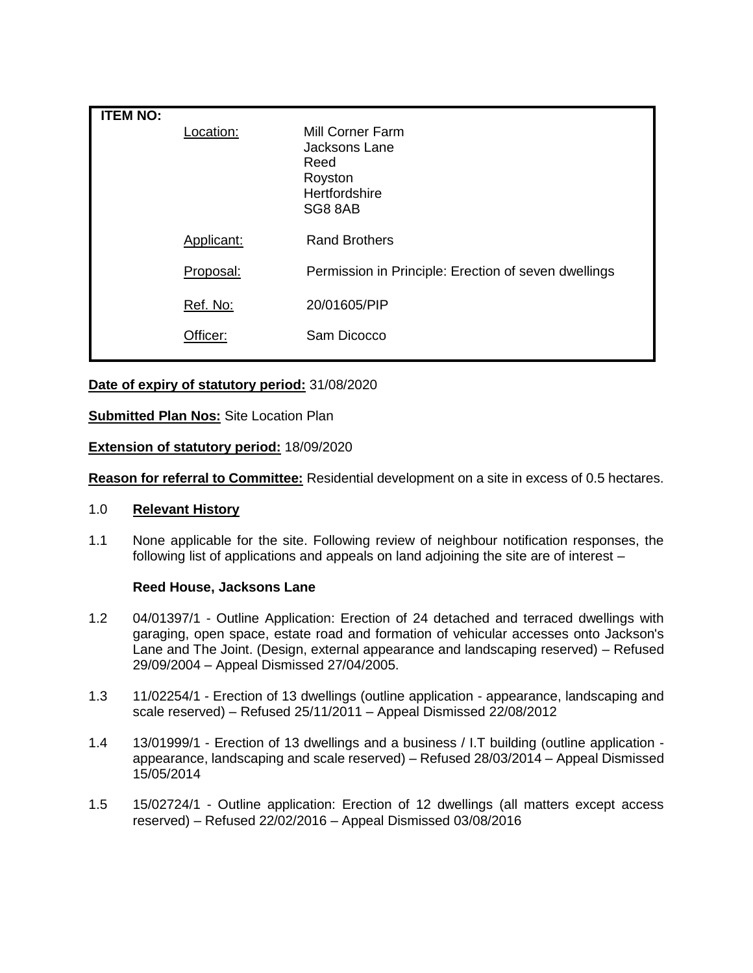| <b>ITEM NO:</b> |            |                                                                                  |
|-----------------|------------|----------------------------------------------------------------------------------|
|                 | _ocation:  | Mill Corner Farm<br>Jacksons Lane<br>Reed<br>Royston<br>Hertfordshire<br>SG8 8AB |
|                 | Applicant: | <b>Rand Brothers</b>                                                             |
|                 | Proposal:  | Permission in Principle: Erection of seven dwellings                             |
|                 | Ref. No:   | 20/01605/PIP                                                                     |
|                 | Officer:   | Sam Dicocco                                                                      |

# **Date of expiry of statutory period:** 31/08/2020

## **Submitted Plan Nos:** Site Location Plan

## **Extension of statutory period:** 18/09/2020

**Reason for referral to Committee:** Residential development on a site in excess of 0.5 hectares.

### 1.0 **Relevant History**

1.1 None applicable for the site. Following review of neighbour notification responses, the following list of applications and appeals on land adjoining the site are of interest –

### **Reed House, Jacksons Lane**

- 1.2 04/01397/1 Outline Application: Erection of 24 detached and terraced dwellings with garaging, open space, estate road and formation of vehicular accesses onto Jackson's Lane and The Joint. (Design, external appearance and landscaping reserved) – Refused 29/09/2004 – Appeal Dismissed 27/04/2005.
- 1.3 11/02254/1 Erection of 13 dwellings (outline application appearance, landscaping and scale reserved) – Refused 25/11/2011 – Appeal Dismissed 22/08/2012
- 1.4 13/01999/1 Erection of 13 dwellings and a business / I.T building (outline application appearance, landscaping and scale reserved) – Refused 28/03/2014 – Appeal Dismissed 15/05/2014
- 1.5 15/02724/1 Outline application: Erection of 12 dwellings (all matters except access reserved) – Refused 22/02/2016 – Appeal Dismissed 03/08/2016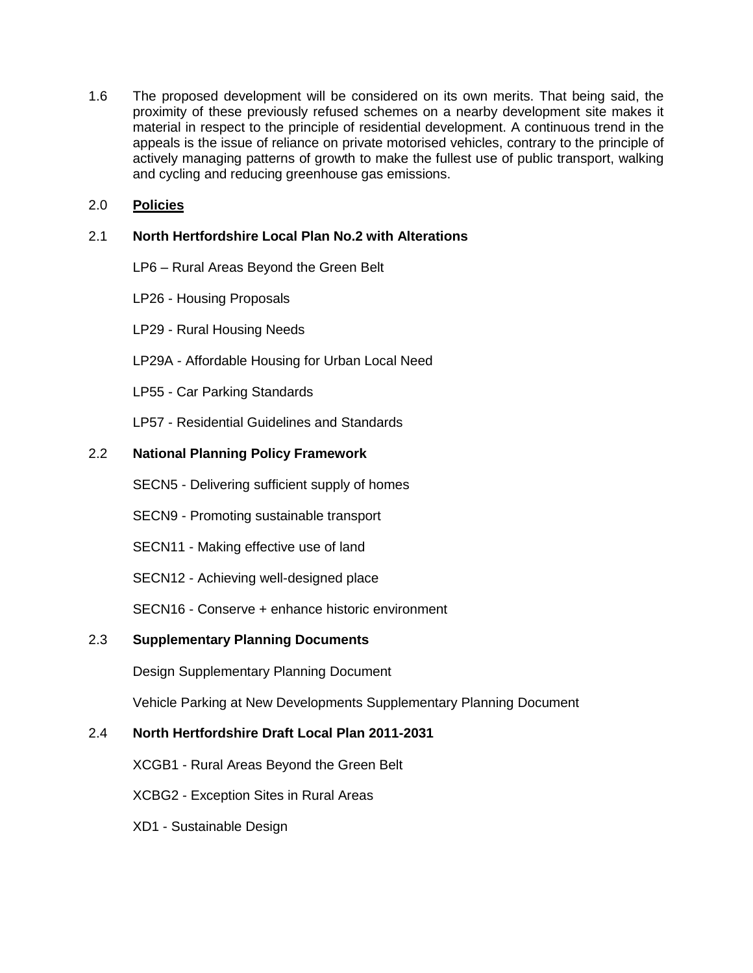1.6 The proposed development will be considered on its own merits. That being said, the proximity of these previously refused schemes on a nearby development site makes it material in respect to the principle of residential development. A continuous trend in the appeals is the issue of reliance on private motorised vehicles, contrary to the principle of actively managing patterns of growth to make the fullest use of public transport, walking and cycling and reducing greenhouse gas emissions.

# 2.0 **Policies**

# 2.1 **North Hertfordshire Local Plan No.2 with Alterations**

- LP6 Rural Areas Beyond the Green Belt
- LP26 Housing Proposals
- LP29 Rural Housing Needs
- LP29A Affordable Housing for Urban Local Need
- LP55 Car Parking Standards
- LP57 Residential Guidelines and Standards

# 2.2 **National Planning Policy Framework**

- SECN5 Delivering sufficient supply of homes
- SECN9 Promoting sustainable transport
- SECN11 Making effective use of land
- SECN12 Achieving well-designed place

SECN16 - Conserve + enhance historic environment

# 2.3 **Supplementary Planning Documents**

Design Supplementary Planning Document

Vehicle Parking at New Developments Supplementary Planning Document

# 2.4 **North Hertfordshire Draft Local Plan 2011-2031**

XCGB1 - Rural Areas Beyond the Green Belt

XCBG2 - Exception Sites in Rural Areas

XD1 - Sustainable Design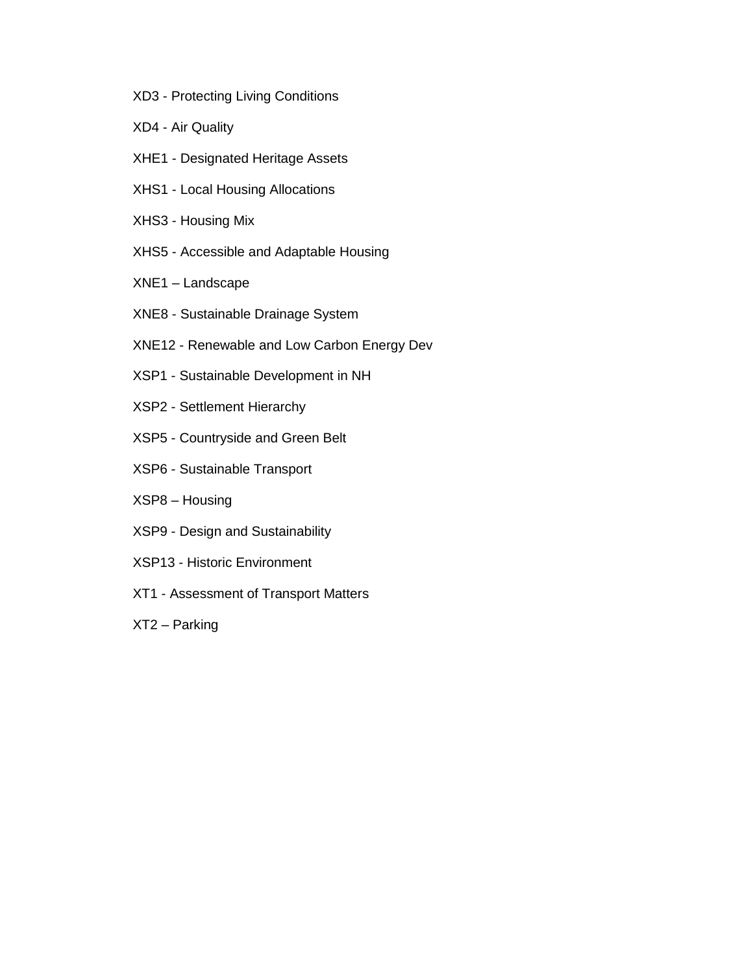- XD3 Protecting Living Conditions
- XD4 Air Quality
- XHE1 Designated Heritage Assets
- XHS1 Local Housing Allocations
- XHS3 Housing Mix
- XHS5 Accessible and Adaptable Housing
- XNE1 Landscape
- XNE8 Sustainable Drainage System
- XNE12 Renewable and Low Carbon Energy Dev
- XSP1 Sustainable Development in NH
- XSP2 Settlement Hierarchy
- XSP5 Countryside and Green Belt
- XSP6 Sustainable Transport
- XSP8 Housing
- XSP9 Design and Sustainability
- XSP13 Historic Environment
- XT1 Assessment of Transport Matters
- XT2 Parking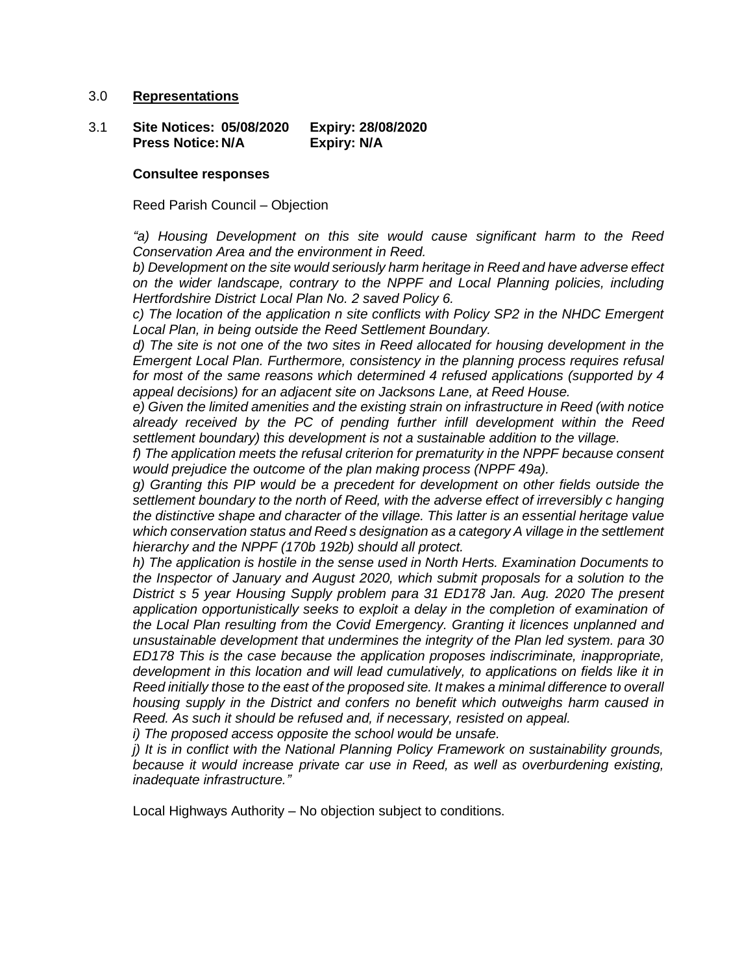### 3.0 **Representations**

3.1 **Site Notices: 05/08/2020 Expiry: 28/08/2020 Press Notice: N/A Expiry: N/A**

#### **Consultee responses**

Reed Parish Council – Objection

*"a) Housing Development on this site would cause significant harm to the Reed Conservation Area and the environment in Reed.*

*b) Development on the site would seriously harm heritage in Reed and have adverse effect on the wider landscape, contrary to the NPPF and Local Planning policies, including Hertfordshire District Local Plan No. 2 saved Policy 6.*

*c) The location of the application n site conflicts with Policy SP2 in the NHDC Emergent Local Plan, in being outside the Reed Settlement Boundary.*

*d) The site is not one of the two sites in Reed allocated for housing development in the Emergent Local Plan. Furthermore, consistency in the planning process requires refusal for most of the same reasons which determined 4 refused applications (supported by 4 appeal decisions) for an adjacent site on Jacksons Lane, at Reed House.*

*e) Given the limited amenities and the existing strain on infrastructure in Reed (with notice already received by the PC of pending further infill development within the Reed settlement boundary) this development is not a sustainable addition to the village.*

*f) The application meets the refusal criterion for prematurity in the NPPF because consent would prejudice the outcome of the plan making process (NPPF 49a).*

*g) Granting this PIP would be a precedent for development on other fields outside the settlement boundary to the north of Reed, with the adverse effect of irreversibly c hanging the distinctive shape and character of the village. This latter is an essential heritage value which conservation status and Reed s designation as a category A village in the settlement hierarchy and the NPPF (170b 192b) should all protect.*

*h) The application is hostile in the sense used in North Herts. Examination Documents to the Inspector of January and August 2020, which submit proposals for a solution to the District s 5 year Housing Supply problem para 31 ED178 Jan. Aug. 2020 The present application opportunistically seeks to exploit a delay in the completion of examination of the Local Plan resulting from the Covid Emergency. Granting it licences unplanned and unsustainable development that undermines the integrity of the Plan led system. para 30 ED178 This is the case because the application proposes indiscriminate, inappropriate, development in this location and will lead cumulatively, to applications on fields like it in Reed initially those to the east of the proposed site. It makes a minimal difference to overall housing supply in the District and confers no benefit which outweighs harm caused in Reed. As such it should be refused and, if necessary, resisted on appeal.*

*i) The proposed access opposite the school would be unsafe.*

*j) It is in conflict with the National Planning Policy Framework on sustainability grounds, because it would increase private car use in Reed, as well as overburdening existing, inadequate infrastructure."*

Local Highways Authority – No objection subject to conditions.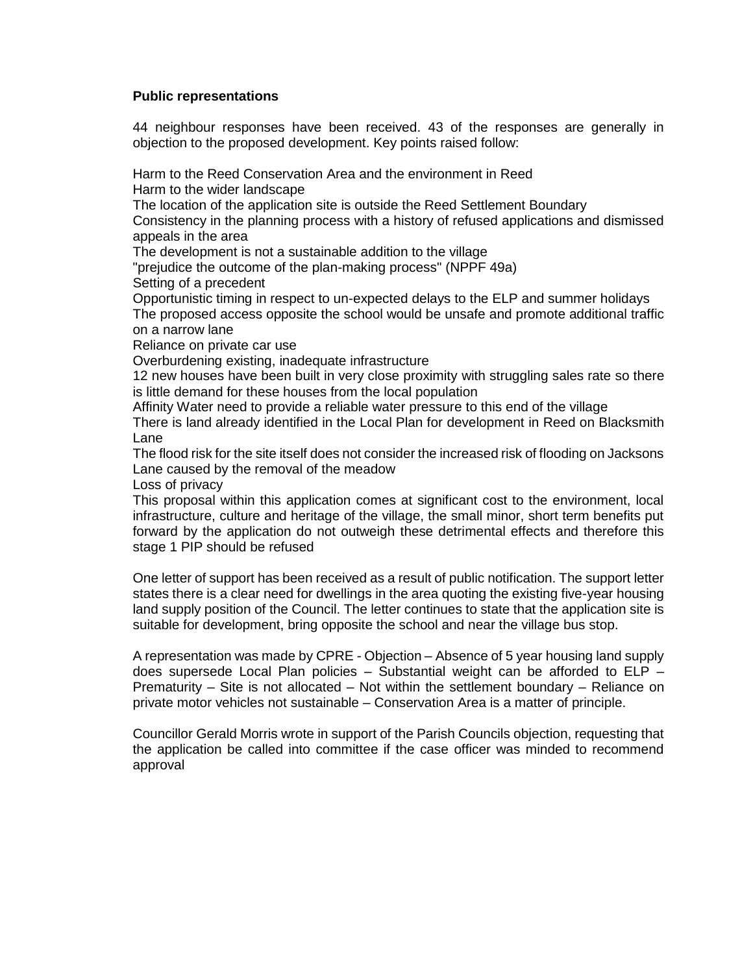## **Public representations**

44 neighbour responses have been received. 43 of the responses are generally in objection to the proposed development. Key points raised follow:

Harm to the Reed Conservation Area and the environment in Reed

Harm to the wider landscape

The location of the application site is outside the Reed Settlement Boundary

Consistency in the planning process with a history of refused applications and dismissed appeals in the area

The development is not a sustainable addition to the village

"prejudice the outcome of the plan-making process" (NPPF 49a)

Setting of a precedent

Opportunistic timing in respect to un-expected delays to the ELP and summer holidays The proposed access opposite the school would be unsafe and promote additional traffic on a narrow lane

Reliance on private car use

Overburdening existing, inadequate infrastructure

12 new houses have been built in very close proximity with struggling sales rate so there is little demand for these houses from the local population

Affinity Water need to provide a reliable water pressure to this end of the village

There is land already identified in the Local Plan for development in Reed on Blacksmith Lane

The flood risk for the site itself does not consider the increased risk of flooding on Jacksons Lane caused by the removal of the meadow

Loss of privacy

This proposal within this application comes at significant cost to the environment, local infrastructure, culture and heritage of the village, the small minor, short term benefits put forward by the application do not outweigh these detrimental effects and therefore this stage 1 PIP should be refused

One letter of support has been received as a result of public notification. The support letter states there is a clear need for dwellings in the area quoting the existing five-year housing land supply position of the Council. The letter continues to state that the application site is suitable for development, bring opposite the school and near the village bus stop.

A representation was made by CPRE - Objection – Absence of 5 year housing land supply does supersede Local Plan policies  $-$  Substantial weight can be afforded to ELP  $-$ Prematurity – Site is not allocated – Not within the settlement boundary – Reliance on private motor vehicles not sustainable – Conservation Area is a matter of principle.

Councillor Gerald Morris wrote in support of the Parish Councils objection, requesting that the application be called into committee if the case officer was minded to recommend approval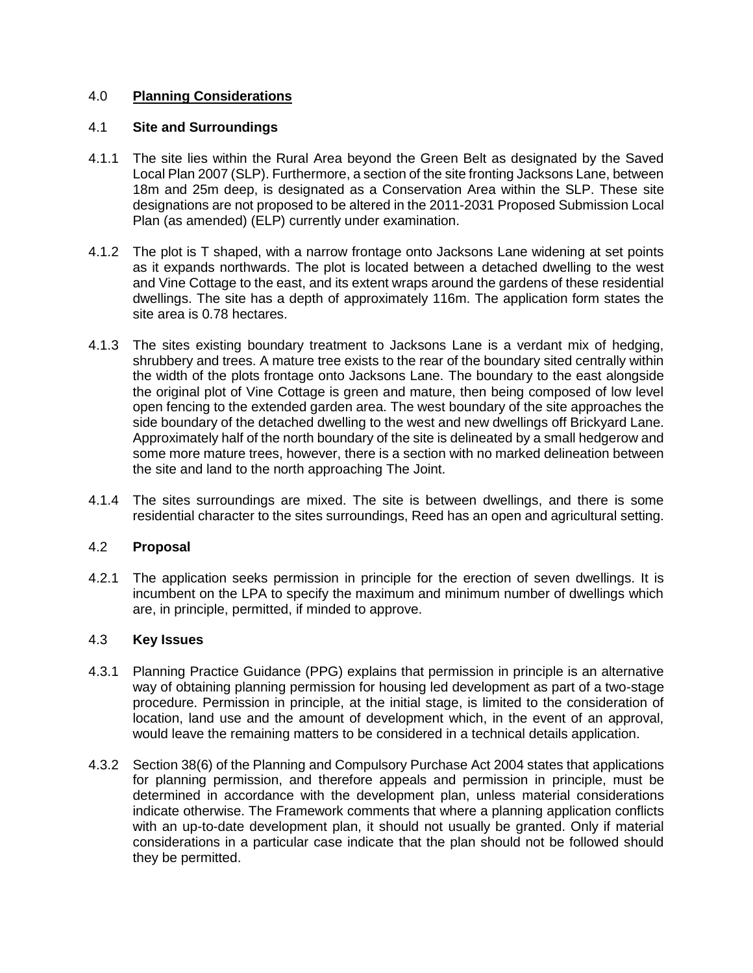# 4.0 **Planning Considerations**

## 4.1 **Site and Surroundings**

- 4.1.1 The site lies within the Rural Area beyond the Green Belt as designated by the Saved Local Plan 2007 (SLP). Furthermore, a section of the site fronting Jacksons Lane, between 18m and 25m deep, is designated as a Conservation Area within the SLP. These site designations are not proposed to be altered in the 2011-2031 Proposed Submission Local Plan (as amended) (ELP) currently under examination.
- 4.1.2 The plot is T shaped, with a narrow frontage onto Jacksons Lane widening at set points as it expands northwards. The plot is located between a detached dwelling to the west and Vine Cottage to the east, and its extent wraps around the gardens of these residential dwellings. The site has a depth of approximately 116m. The application form states the site area is 0.78 hectares.
- 4.1.3 The sites existing boundary treatment to Jacksons Lane is a verdant mix of hedging, shrubbery and trees. A mature tree exists to the rear of the boundary sited centrally within the width of the plots frontage onto Jacksons Lane. The boundary to the east alongside the original plot of Vine Cottage is green and mature, then being composed of low level open fencing to the extended garden area. The west boundary of the site approaches the side boundary of the detached dwelling to the west and new dwellings off Brickyard Lane. Approximately half of the north boundary of the site is delineated by a small hedgerow and some more mature trees, however, there is a section with no marked delineation between the site and land to the north approaching The Joint.
- 4.1.4 The sites surroundings are mixed. The site is between dwellings, and there is some residential character to the sites surroundings, Reed has an open and agricultural setting.

# 4.2 **Proposal**

4.2.1 The application seeks permission in principle for the erection of seven dwellings. It is incumbent on the LPA to specify the maximum and minimum number of dwellings which are, in principle, permitted, if minded to approve.

### 4.3 **Key Issues**

- 4.3.1 Planning Practice Guidance (PPG) explains that permission in principle is an alternative way of obtaining planning permission for housing led development as part of a two-stage procedure. Permission in principle, at the initial stage, is limited to the consideration of location, land use and the amount of development which, in the event of an approval, would leave the remaining matters to be considered in a technical details application.
- 4.3.2 Section 38(6) of the Planning and Compulsory Purchase Act 2004 states that applications for planning permission, and therefore appeals and permission in principle, must be determined in accordance with the development plan, unless material considerations indicate otherwise. The Framework comments that where a planning application conflicts with an up-to-date development plan, it should not usually be granted. Only if material considerations in a particular case indicate that the plan should not be followed should they be permitted.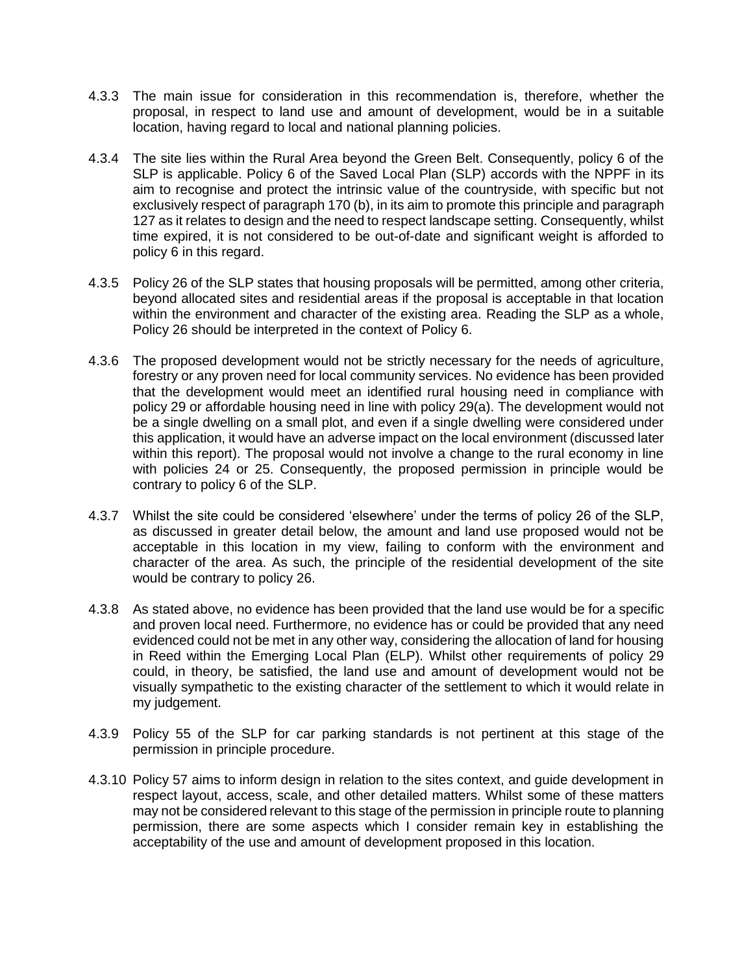- 4.3.3 The main issue for consideration in this recommendation is, therefore, whether the proposal, in respect to land use and amount of development, would be in a suitable location, having regard to local and national planning policies.
- 4.3.4 The site lies within the Rural Area beyond the Green Belt. Consequently, policy 6 of the SLP is applicable. Policy 6 of the Saved Local Plan (SLP) accords with the NPPF in its aim to recognise and protect the intrinsic value of the countryside, with specific but not exclusively respect of paragraph 170 (b), in its aim to promote this principle and paragraph 127 as it relates to design and the need to respect landscape setting. Consequently, whilst time expired, it is not considered to be out-of-date and significant weight is afforded to policy 6 in this regard.
- 4.3.5 Policy 26 of the SLP states that housing proposals will be permitted, among other criteria, beyond allocated sites and residential areas if the proposal is acceptable in that location within the environment and character of the existing area. Reading the SLP as a whole, Policy 26 should be interpreted in the context of Policy 6.
- 4.3.6 The proposed development would not be strictly necessary for the needs of agriculture, forestry or any proven need for local community services. No evidence has been provided that the development would meet an identified rural housing need in compliance with policy 29 or affordable housing need in line with policy 29(a). The development would not be a single dwelling on a small plot, and even if a single dwelling were considered under this application, it would have an adverse impact on the local environment (discussed later within this report). The proposal would not involve a change to the rural economy in line with policies 24 or 25. Consequently, the proposed permission in principle would be contrary to policy 6 of the SLP.
- 4.3.7 Whilst the site could be considered 'elsewhere' under the terms of policy 26 of the SLP, as discussed in greater detail below, the amount and land use proposed would not be acceptable in this location in my view, failing to conform with the environment and character of the area. As such, the principle of the residential development of the site would be contrary to policy 26.
- 4.3.8 As stated above, no evidence has been provided that the land use would be for a specific and proven local need. Furthermore, no evidence has or could be provided that any need evidenced could not be met in any other way, considering the allocation of land for housing in Reed within the Emerging Local Plan (ELP). Whilst other requirements of policy 29 could, in theory, be satisfied, the land use and amount of development would not be visually sympathetic to the existing character of the settlement to which it would relate in my judgement.
- 4.3.9 Policy 55 of the SLP for car parking standards is not pertinent at this stage of the permission in principle procedure.
- 4.3.10 Policy 57 aims to inform design in relation to the sites context, and guide development in respect layout, access, scale, and other detailed matters. Whilst some of these matters may not be considered relevant to this stage of the permission in principle route to planning permission, there are some aspects which I consider remain key in establishing the acceptability of the use and amount of development proposed in this location.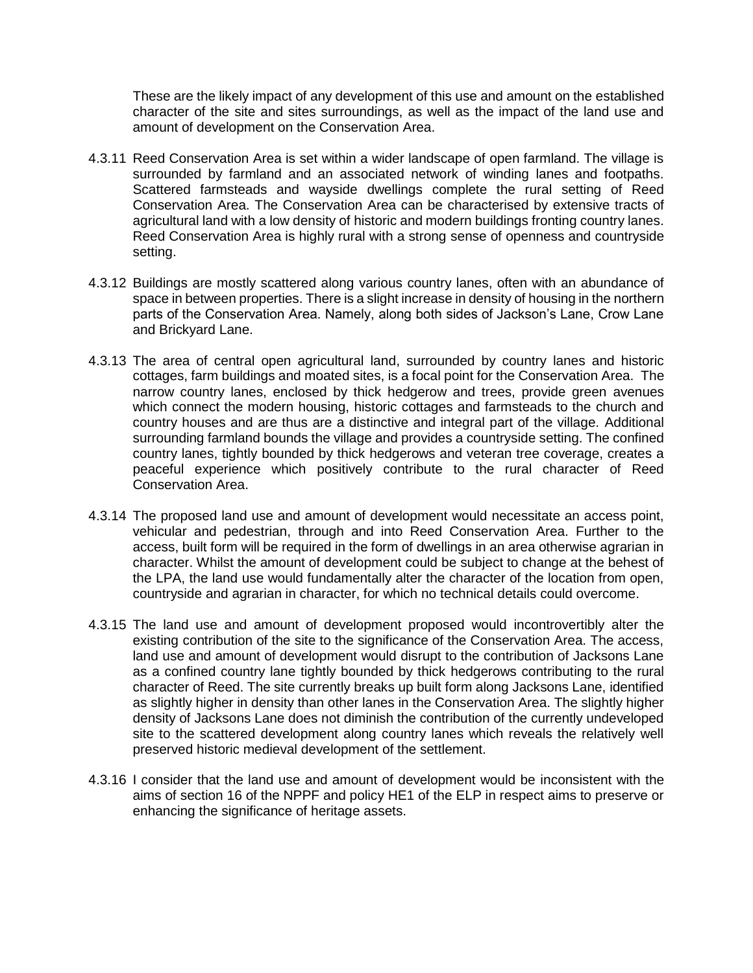These are the likely impact of any development of this use and amount on the established character of the site and sites surroundings, as well as the impact of the land use and amount of development on the Conservation Area.

- 4.3.11 Reed Conservation Area is set within a wider landscape of open farmland. The village is surrounded by farmland and an associated network of winding lanes and footpaths. Scattered farmsteads and wayside dwellings complete the rural setting of Reed Conservation Area. The Conservation Area can be characterised by extensive tracts of agricultural land with a low density of historic and modern buildings fronting country lanes. Reed Conservation Area is highly rural with a strong sense of openness and countryside setting.
- 4.3.12 Buildings are mostly scattered along various country lanes, often with an abundance of space in between properties. There is a slight increase in density of housing in the northern parts of the Conservation Area. Namely, along both sides of Jackson's Lane, Crow Lane and Brickyard Lane.
- 4.3.13 The area of central open agricultural land, surrounded by country lanes and historic cottages, farm buildings and moated sites, is a focal point for the Conservation Area. The narrow country lanes, enclosed by thick hedgerow and trees, provide green avenues which connect the modern housing, historic cottages and farmsteads to the church and country houses and are thus are a distinctive and integral part of the village. Additional surrounding farmland bounds the village and provides a countryside setting. The confined country lanes, tightly bounded by thick hedgerows and veteran tree coverage, creates a peaceful experience which positively contribute to the rural character of Reed Conservation Area.
- 4.3.14 The proposed land use and amount of development would necessitate an access point, vehicular and pedestrian, through and into Reed Conservation Area. Further to the access, built form will be required in the form of dwellings in an area otherwise agrarian in character. Whilst the amount of development could be subject to change at the behest of the LPA, the land use would fundamentally alter the character of the location from open, countryside and agrarian in character, for which no technical details could overcome.
- 4.3.15 The land use and amount of development proposed would incontrovertibly alter the existing contribution of the site to the significance of the Conservation Area. The access, land use and amount of development would disrupt to the contribution of Jacksons Lane as a confined country lane tightly bounded by thick hedgerows contributing to the rural character of Reed. The site currently breaks up built form along Jacksons Lane, identified as slightly higher in density than other lanes in the Conservation Area. The slightly higher density of Jacksons Lane does not diminish the contribution of the currently undeveloped site to the scattered development along country lanes which reveals the relatively well preserved historic medieval development of the settlement.
- 4.3.16 I consider that the land use and amount of development would be inconsistent with the aims of section 16 of the NPPF and policy HE1 of the ELP in respect aims to preserve or enhancing the significance of heritage assets.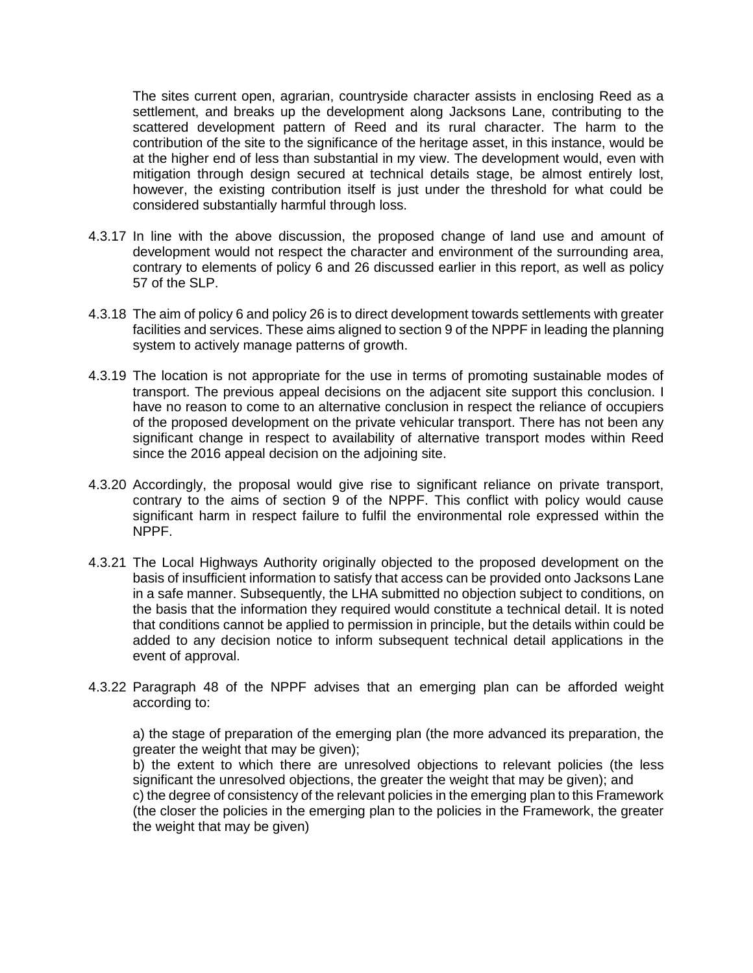The sites current open, agrarian, countryside character assists in enclosing Reed as a settlement, and breaks up the development along Jacksons Lane, contributing to the scattered development pattern of Reed and its rural character. The harm to the contribution of the site to the significance of the heritage asset, in this instance, would be at the higher end of less than substantial in my view. The development would, even with mitigation through design secured at technical details stage, be almost entirely lost, however, the existing contribution itself is just under the threshold for what could be considered substantially harmful through loss.

- 4.3.17 In line with the above discussion, the proposed change of land use and amount of development would not respect the character and environment of the surrounding area, contrary to elements of policy 6 and 26 discussed earlier in this report, as well as policy 57 of the SLP.
- 4.3.18 The aim of policy 6 and policy 26 is to direct development towards settlements with greater facilities and services. These aims aligned to section 9 of the NPPF in leading the planning system to actively manage patterns of growth.
- 4.3.19 The location is not appropriate for the use in terms of promoting sustainable modes of transport. The previous appeal decisions on the adjacent site support this conclusion. I have no reason to come to an alternative conclusion in respect the reliance of occupiers of the proposed development on the private vehicular transport. There has not been any significant change in respect to availability of alternative transport modes within Reed since the 2016 appeal decision on the adjoining site.
- 4.3.20 Accordingly, the proposal would give rise to significant reliance on private transport, contrary to the aims of section 9 of the NPPF. This conflict with policy would cause significant harm in respect failure to fulfil the environmental role expressed within the NPPF.
- 4.3.21 The Local Highways Authority originally objected to the proposed development on the basis of insufficient information to satisfy that access can be provided onto Jacksons Lane in a safe manner. Subsequently, the LHA submitted no objection subject to conditions, on the basis that the information they required would constitute a technical detail. It is noted that conditions cannot be applied to permission in principle, but the details within could be added to any decision notice to inform subsequent technical detail applications in the event of approval.
- 4.3.22 Paragraph 48 of the NPPF advises that an emerging plan can be afforded weight according to:

a) the stage of preparation of the emerging plan (the more advanced its preparation, the greater the weight that may be given);

b) the extent to which there are unresolved objections to relevant policies (the less significant the unresolved objections, the greater the weight that may be given); and c) the degree of consistency of the relevant policies in the emerging plan to this Framework (the closer the policies in the emerging plan to the policies in the Framework, the greater the weight that may be given)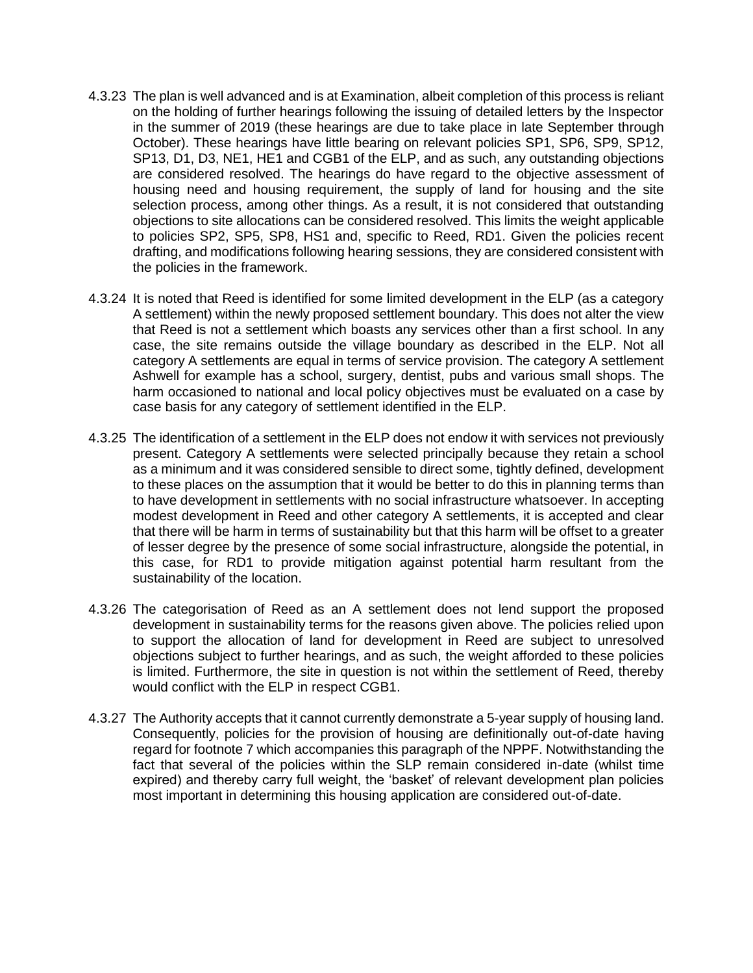- 4.3.23 The plan is well advanced and is at Examination, albeit completion of this process is reliant on the holding of further hearings following the issuing of detailed letters by the Inspector in the summer of 2019 (these hearings are due to take place in late September through October). These hearings have little bearing on relevant policies SP1, SP6, SP9, SP12, SP13, D1, D3, NE1, HE1 and CGB1 of the ELP, and as such, any outstanding objections are considered resolved. The hearings do have regard to the objective assessment of housing need and housing requirement, the supply of land for housing and the site selection process, among other things. As a result, it is not considered that outstanding objections to site allocations can be considered resolved. This limits the weight applicable to policies SP2, SP5, SP8, HS1 and, specific to Reed, RD1. Given the policies recent drafting, and modifications following hearing sessions, they are considered consistent with the policies in the framework.
- 4.3.24 It is noted that Reed is identified for some limited development in the ELP (as a category A settlement) within the newly proposed settlement boundary. This does not alter the view that Reed is not a settlement which boasts any services other than a first school. In any case, the site remains outside the village boundary as described in the ELP. Not all category A settlements are equal in terms of service provision. The category A settlement Ashwell for example has a school, surgery, dentist, pubs and various small shops. The harm occasioned to national and local policy objectives must be evaluated on a case by case basis for any category of settlement identified in the ELP.
- 4.3.25 The identification of a settlement in the ELP does not endow it with services not previously present. Category A settlements were selected principally because they retain a school as a minimum and it was considered sensible to direct some, tightly defined, development to these places on the assumption that it would be better to do this in planning terms than to have development in settlements with no social infrastructure whatsoever. In accepting modest development in Reed and other category A settlements, it is accepted and clear that there will be harm in terms of sustainability but that this harm will be offset to a greater of lesser degree by the presence of some social infrastructure, alongside the potential, in this case, for RD1 to provide mitigation against potential harm resultant from the sustainability of the location.
- 4.3.26 The categorisation of Reed as an A settlement does not lend support the proposed development in sustainability terms for the reasons given above. The policies relied upon to support the allocation of land for development in Reed are subject to unresolved objections subject to further hearings, and as such, the weight afforded to these policies is limited. Furthermore, the site in question is not within the settlement of Reed, thereby would conflict with the ELP in respect CGB1.
- 4.3.27 The Authority accepts that it cannot currently demonstrate a 5-year supply of housing land. Consequently, policies for the provision of housing are definitionally out-of-date having regard for footnote 7 which accompanies this paragraph of the NPPF. Notwithstanding the fact that several of the policies within the SLP remain considered in-date (whilst time expired) and thereby carry full weight, the 'basket' of relevant development plan policies most important in determining this housing application are considered out-of-date.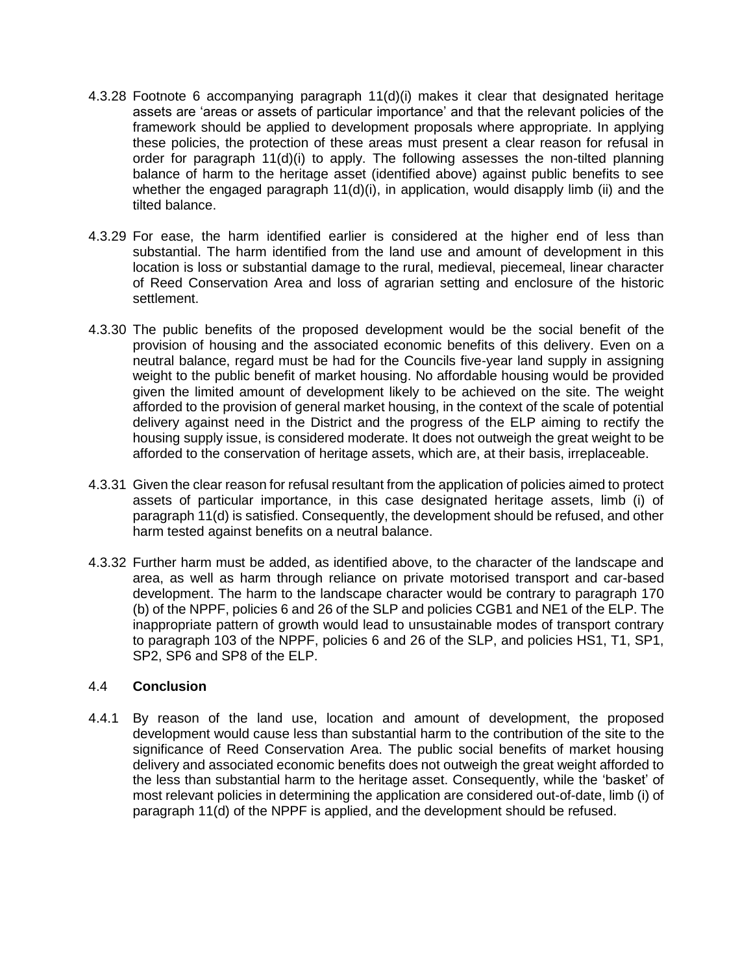- 4.3.28 Footnote 6 accompanying paragraph 11(d)(i) makes it clear that designated heritage assets are 'areas or assets of particular importance' and that the relevant policies of the framework should be applied to development proposals where appropriate. In applying these policies, the protection of these areas must present a clear reason for refusal in order for paragraph 11(d)(i) to apply. The following assesses the non-tilted planning balance of harm to the heritage asset (identified above) against public benefits to see whether the engaged paragraph 11(d)(i), in application, would disapply limb (ii) and the tilted balance.
- 4.3.29 For ease, the harm identified earlier is considered at the higher end of less than substantial. The harm identified from the land use and amount of development in this location is loss or substantial damage to the rural, medieval, piecemeal, linear character of Reed Conservation Area and loss of agrarian setting and enclosure of the historic settlement.
- 4.3.30 The public benefits of the proposed development would be the social benefit of the provision of housing and the associated economic benefits of this delivery. Even on a neutral balance, regard must be had for the Councils five-year land supply in assigning weight to the public benefit of market housing. No affordable housing would be provided given the limited amount of development likely to be achieved on the site. The weight afforded to the provision of general market housing, in the context of the scale of potential delivery against need in the District and the progress of the ELP aiming to rectify the housing supply issue, is considered moderate. It does not outweigh the great weight to be afforded to the conservation of heritage assets, which are, at their basis, irreplaceable.
- 4.3.31 Given the clear reason for refusal resultant from the application of policies aimed to protect assets of particular importance, in this case designated heritage assets, limb (i) of paragraph 11(d) is satisfied. Consequently, the development should be refused, and other harm tested against benefits on a neutral balance.
- 4.3.32 Further harm must be added, as identified above, to the character of the landscape and area, as well as harm through reliance on private motorised transport and car-based development. The harm to the landscape character would be contrary to paragraph 170 (b) of the NPPF, policies 6 and 26 of the SLP and policies CGB1 and NE1 of the ELP. The inappropriate pattern of growth would lead to unsustainable modes of transport contrary to paragraph 103 of the NPPF, policies 6 and 26 of the SLP, and policies HS1, T1, SP1, SP2, SP6 and SP8 of the ELP.

### 4.4 **Conclusion**

4.4.1 By reason of the land use, location and amount of development, the proposed development would cause less than substantial harm to the contribution of the site to the significance of Reed Conservation Area. The public social benefits of market housing delivery and associated economic benefits does not outweigh the great weight afforded to the less than substantial harm to the heritage asset. Consequently, while the 'basket' of most relevant policies in determining the application are considered out-of-date, limb (i) of paragraph 11(d) of the NPPF is applied, and the development should be refused.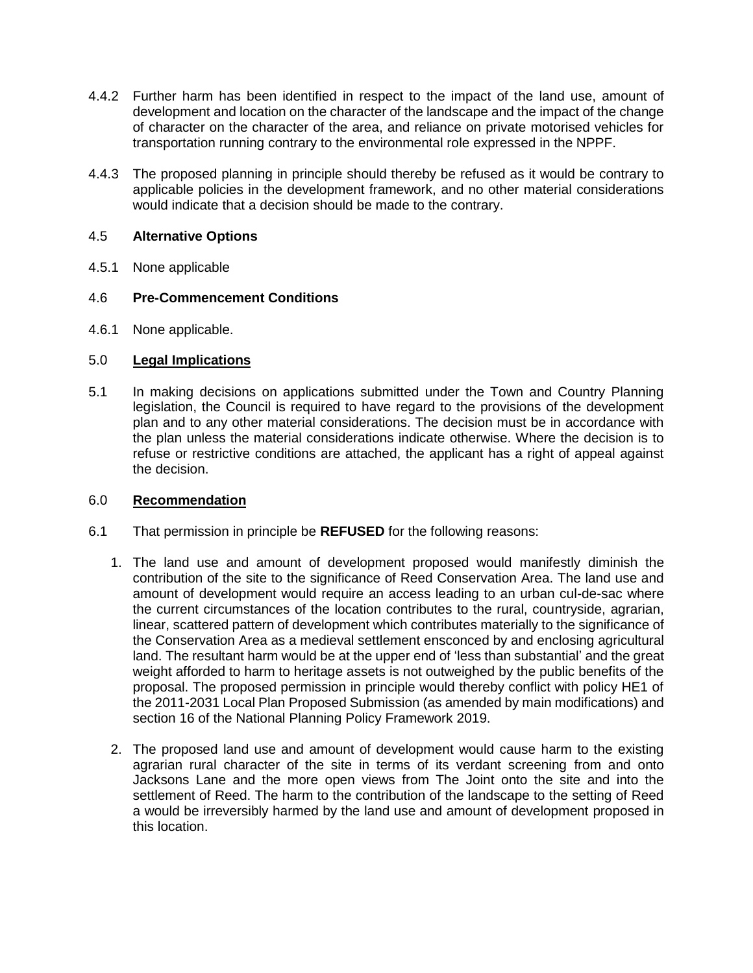- 4.4.2 Further harm has been identified in respect to the impact of the land use, amount of development and location on the character of the landscape and the impact of the change of character on the character of the area, and reliance on private motorised vehicles for transportation running contrary to the environmental role expressed in the NPPF.
- 4.4.3 The proposed planning in principle should thereby be refused as it would be contrary to applicable policies in the development framework, and no other material considerations would indicate that a decision should be made to the contrary.

# 4.5 **Alternative Options**

4.5.1 None applicable

## 4.6 **Pre-Commencement Conditions**

4.6.1 None applicable.

## 5.0 **Legal Implications**

5.1 In making decisions on applications submitted under the Town and Country Planning legislation, the Council is required to have regard to the provisions of the development plan and to any other material considerations. The decision must be in accordance with the plan unless the material considerations indicate otherwise. Where the decision is to refuse or restrictive conditions are attached, the applicant has a right of appeal against the decision.

### 6.0 **Recommendation**

- 6.1 That permission in principle be **REFUSED** for the following reasons:
	- 1. The land use and amount of development proposed would manifestly diminish the contribution of the site to the significance of Reed Conservation Area. The land use and amount of development would require an access leading to an urban cul-de-sac where the current circumstances of the location contributes to the rural, countryside, agrarian, linear, scattered pattern of development which contributes materially to the significance of the Conservation Area as a medieval settlement ensconced by and enclosing agricultural land. The resultant harm would be at the upper end of 'less than substantial' and the great weight afforded to harm to heritage assets is not outweighed by the public benefits of the proposal. The proposed permission in principle would thereby conflict with policy HE1 of the 2011-2031 Local Plan Proposed Submission (as amended by main modifications) and section 16 of the National Planning Policy Framework 2019.
	- 2. The proposed land use and amount of development would cause harm to the existing agrarian rural character of the site in terms of its verdant screening from and onto Jacksons Lane and the more open views from The Joint onto the site and into the settlement of Reed. The harm to the contribution of the landscape to the setting of Reed a would be irreversibly harmed by the land use and amount of development proposed in this location.